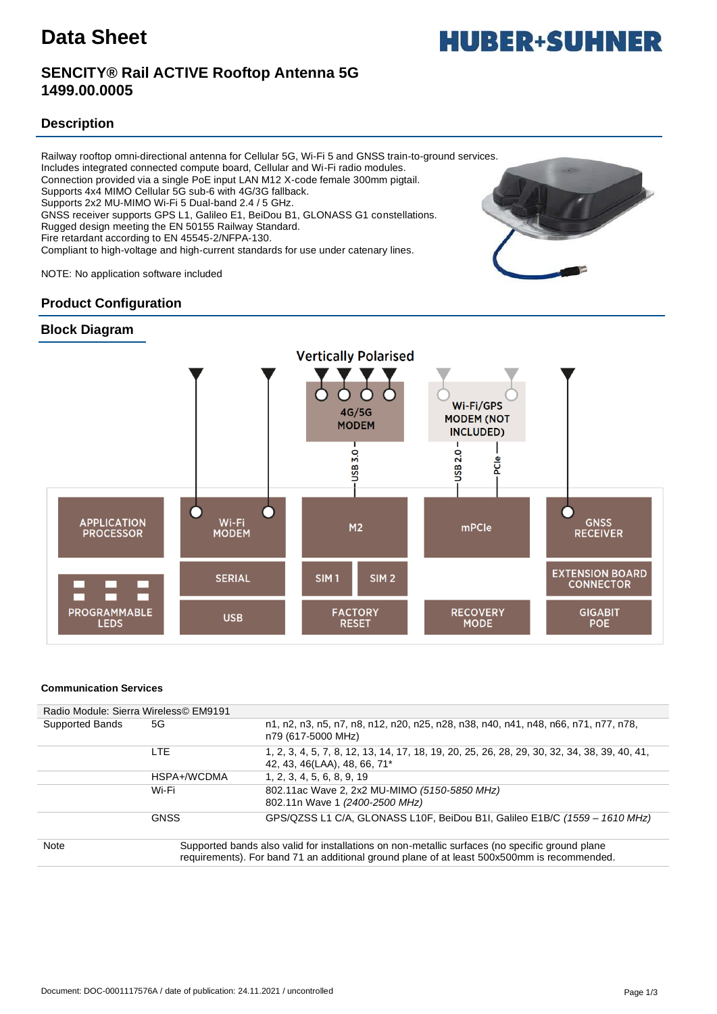## **SENCITY® Rail ACTIVE Rooftop Antenna 5G 1499.00.0005**

### **Description**

Railway rooftop omni-directional antenna for Cellular 5G, Wi-Fi 5 and GNSS train-to-ground services. Includes integrated connected compute board, Cellular and Wi-Fi radio modules. Connection provided via a single PoE input LAN M12 X-code female 300mm pigtail. Supports 4x4 MIMO Cellular 5G sub-6 with 4G/3G fallback. Supports 2x2 MU-MIMO Wi-Fi 5 Dual-band 2.4 / 5 GHz. GNSS receiver supports GPS L1, Galileo E1, BeiDou B1, GLONASS G1 constellations. Rugged design meeting the EN 50155 Railway Standard. Fire retardant according to EN 45545-2/NFPA-130. Compliant to high-voltage and high-current standards for use under catenary lines.

NOTE: No application software included

### **Product Configuration**





#### **Communication Services**

|                        | Radio Module: Sierra Wireless© EM9191                                                                                                                                                          |                                                                                                                              |
|------------------------|------------------------------------------------------------------------------------------------------------------------------------------------------------------------------------------------|------------------------------------------------------------------------------------------------------------------------------|
| <b>Supported Bands</b> | 5G                                                                                                                                                                                             | n1, n2, n3, n5, n7, n8, n12, n20, n25, n28, n38, n40, n41, n48, n66, n71, n77, n78,<br>n79 (617-5000 MHz)                    |
|                        | LTE                                                                                                                                                                                            | 1, 2, 3, 4, 5, 7, 8, 12, 13, 14, 17, 18, 19, 20, 25, 26, 28, 29, 30, 32, 34, 38, 39, 40, 41,<br>42, 43, 46(LAA), 48, 66, 71* |
|                        | HSPA+/WCDMA                                                                                                                                                                                    | 1, 2, 3, 4, 5, 6, 8, 9, 19                                                                                                   |
|                        | Wi-Fi                                                                                                                                                                                          | 802.11ac Wave 2, 2x2 MU-MIMO (5150-5850 MHz)<br>802.11n Wave 1 (2400-2500 MHz)                                               |
|                        | <b>GNSS</b>                                                                                                                                                                                    | GPS/QZSS L1 C/A, GLONASS L10F, BeiDou B1I, Galileo E1B/C (1559 - 1610 MHz)                                                   |
| Note                   | Supported bands also valid for installations on non-metallic surfaces (no specific ground plane<br>requirements). For band 71 an additional ground plane of at least 500x500mm is recommended. |                                                                                                                              |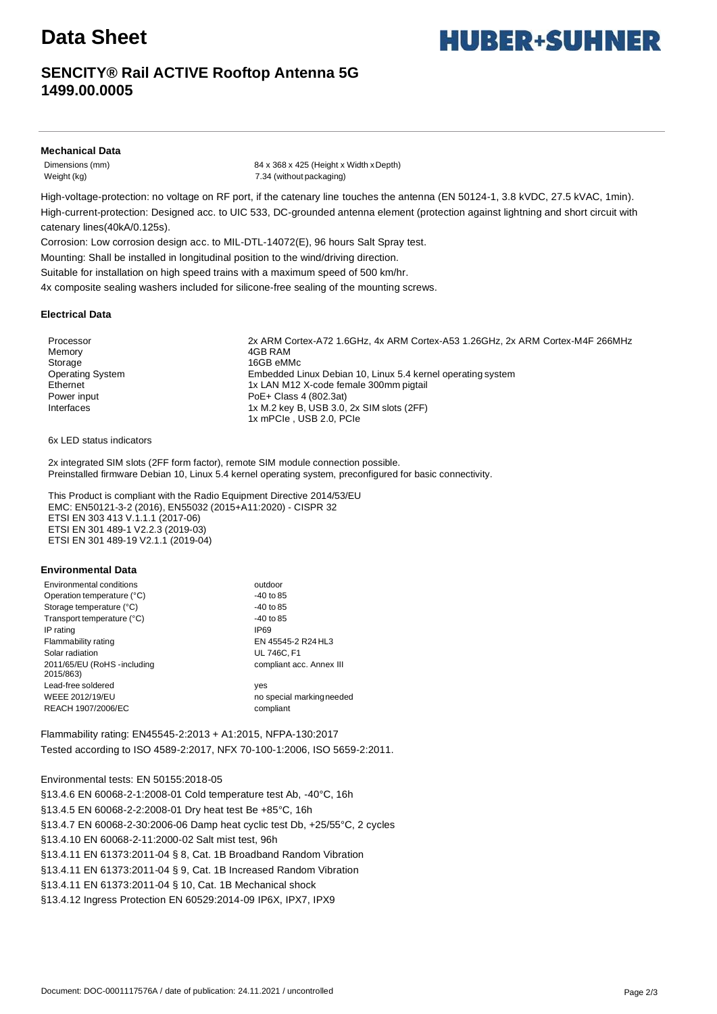# **Data Sheet**

## **SENCITY® Rail ACTIVE Rooftop Antenna 5G 1499.00.0005**

#### **Mechanical Data**

Dimensions (mm) 84 x 368 x 425 (Height x Width xDepth) Weight (kg) 7.34 (without packaging)

High-voltage-protection: no voltage on RF port, if the catenary line touches the antenna (EN 50124-1, 3.8 kVDC, 27.5 kVAC, 1min). High-current-protection: Designed acc. to UIC 533, DC-grounded antenna element (protection against lightning and short circuit with catenary lines(40kA/0.125s).

Corrosion: Low corrosion design acc. to MIL-DTL-14072(E), 96 hours Salt Spray test.

Mounting: Shall be installed in longitudinal position to the wind/driving direction.

Suitable for installation on high speed trains with a maximum speed of 500 km/hr.

4x composite sealing washers included for silicone-free sealing of the mounting screws.

#### **Electrical Data**

Memory **4GB RAM** Storage 16GB eMMc

Processor 2x ARM Cortex-A72 1.6GHz, 4x ARM Cortex-A53 1.26GHz, 2x ARM Cortex-M4F 266MHz Operating System Embedded Linux Debian 10, Linux 5.4 kernel operating system Ethernet 1x LAN M12 X-code female 300mm pigtail Power input Power input Poet + Class 4 (802.3at) Interfaces 1x M.2 key B, USB 3.0, 2x SIM slots (2FF) 1x mPCIe , USB 2.0, PCIe

6x LED status indicators

2x integrated SIM slots (2FF form factor), remote SIM module connection possible. Preinstalled firmware Debian 10, Linux 5.4 kernel operating system, preconfigured for basic connectivity.

This Product is compliant with the Radio Equipment Directive 2014/53/EU EMC: EN50121-3-2 (2016), EN55032 (2015+A11:2020) - CISPR 32 ETSI EN 303 413 V.1.1.1 (2017-06) ETSI EN 301 489-1 V2.2.3 (2019-03) ETSI EN 301 489-19 V2.1.1 (2019-04)

#### **Environmental Data**

| Environmental conditions                  | outdoor                   |
|-------------------------------------------|---------------------------|
| Operation temperature (°C)                | $-40$ to 85               |
| Storage temperature (°C)                  | $-40$ to 85               |
| Transport temperature (°C)                | $-40$ to 85               |
| IP rating                                 | IP69                      |
| Flammability rating                       | EN 45545-2 R24 HL3        |
| Solar radiation                           | <b>UL 746C. F1</b>        |
| 2011/65/EU (RoHS - including<br>2015/863) | compliant acc. Annex III  |
| Lead-free soldered                        | yes                       |
| WEEE 2012/19/EU                           | no special marking needed |
| REACH 1907/2006/EC                        | compliant                 |

Flammability rating: EN45545-2:2013 + A1:2015, NFPA-130:2017 Tested according to ISO 4589-2:2017, NFX 70-100-1:2006, ISO 5659-2:2011.

Environmental tests: EN 50155:2018-05

§13.4.6 EN 60068-2-1:2008-01 Cold temperature test Ab, -40°C, 16h §13.4.5 EN 60068-2-2:2008-01 Dry heat test Be +85°C, 16h §13.4.7 EN 60068-2-30:2006-06 Damp heat cyclic test Db, +25/55°C, 2 cycles §13.4.10 EN 60068-2-11:2000-02 Salt mist test, 96h §13.4.11 EN 61373:2011-04 § 8, Cat. 1B Broadband Random Vibration §13.4.11 EN 61373:2011-04 § 9, Cat. 1B Increased Random Vibration §13.4.11 EN 61373:2011-04 § 10, Cat. 1B Mechanical shock §13.4.12 Ingress Protection EN 60529:2014-09 IP6X, IPX7, IPX9